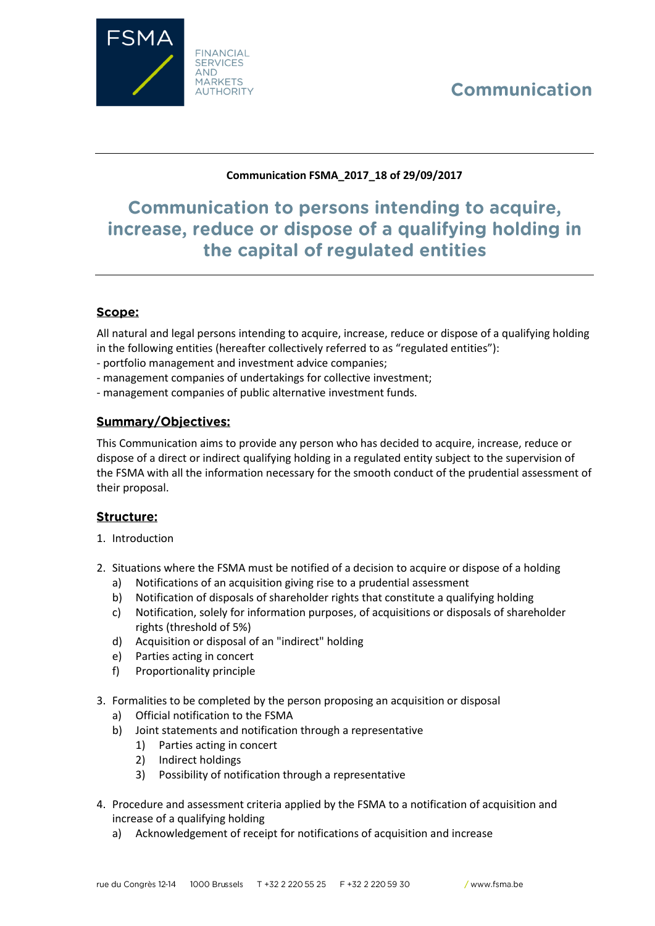# Communication



### **Communication FSMA\_2017\_18 of 29/09/2017**

## **Communication to persons intending to acquire,** increase, reduce or dispose of a qualifying holding in the capital of regulated entities

## Scope:

All natural and legal persons intending to acquire, increase, reduce or dispose of a qualifying holding in the following entities (hereafter collectively referred to as "regulated entities"):

- portfolio management and investment advice companies;
- management companies of undertakings for collective investment;
- management companies of public alternative investment funds.

### **Summary/Objectives:**

This Communication aims to provide any person who has decided to acquire, increase, reduce or dispose of a direct or indirect qualifying holding in a regulated entity subject to the supervision of the FSMA with all the information necessary for the smooth conduct of the prudential assessment of their proposal.

#### **Structure:**

- 1. Introduction
- 2. Situations where the FSMA must be notified of a decision to acquire or dispose of a holding
	- a) Notifications of an acquisition giving rise to a prudential assessment
	- b) Notification of disposals of shareholder rights that constitute a qualifying holding
	- c) Notification, solely for information purposes, of acquisitions or disposals of shareholder rights (threshold of 5%)
	- d) Acquisition or disposal of an "indirect" holding
	- e) Parties acting in concert
	- f) Proportionality principle
- 3. Formalities to be completed by the person proposing an acquisition or disposal
	- a) Official notification to the FSMA
	- b) Joint statements and notification through a representative
		- 1) Parties acting in concert
		- 2) Indirect holdings
		- 3) Possibility of notification through a representative
- 4. Procedure and assessment criteria applied by the FSMA to a notification of acquisition and increase of a qualifying holding
	- a) Acknowledgement of receipt for notifications of acquisition and increase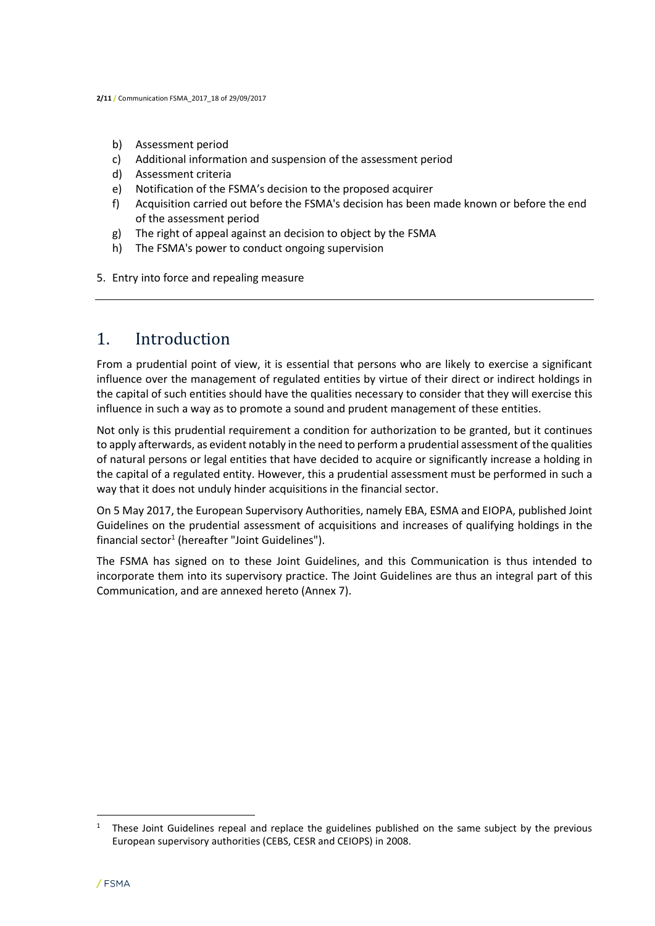- b) Assessment period
- c) Additional information and suspension of the assessment period
- d) Assessment criteria
- e) Notification of the FSMA's decision to the proposed acquirer
- f) Acquisition carried out before the FSMA's decision has been made known or before the end of the assessment period
- g) The right of appeal against an decision to object by the FSMA
- h) The FSMA's power to conduct ongoing supervision
- 5. Entry into force and repealing measure

## 1. Introduction

From a prudential point of view, it is essential that persons who are likely to exercise a significant influence over the management of regulated entities by virtue of their direct or indirect holdings in the capital of such entities should have the qualities necessary to consider that they will exercise this influence in such a way as to promote a sound and prudent management of these entities.

Not only is this prudential requirement a condition for authorization to be granted, but it continues to apply afterwards, as evident notably in the need to perform a prudential assessment of the qualities of natural persons or legal entities that have decided to acquire or significantly increase a holding in the capital of a regulated entity. However, this a prudential assessment must be performed in such a way that it does not unduly hinder acquisitions in the financial sector.

On 5 May 2017, the European Supervisory Authorities, namely EBA, ESMA and EIOPA, published Joint Guidelines on the prudential assessment of acquisitions and increases of qualifying holdings in the financial sector<sup>1</sup> (hereafter "Joint Guidelines").

The FSMA has signed on to these Joint Guidelines, and this Communication is thus intended to incorporate them into its supervisory practice. The Joint Guidelines are thus an integral part of this Communication, and are annexed hereto (Annex 7).

 $\overline{a}$ 

<sup>&</sup>lt;sup>1</sup> These Joint Guidelines repeal and replace the guidelines published on the same subject by the previous European supervisory authorities (CEBS, CESR and CEIOPS) in 2008.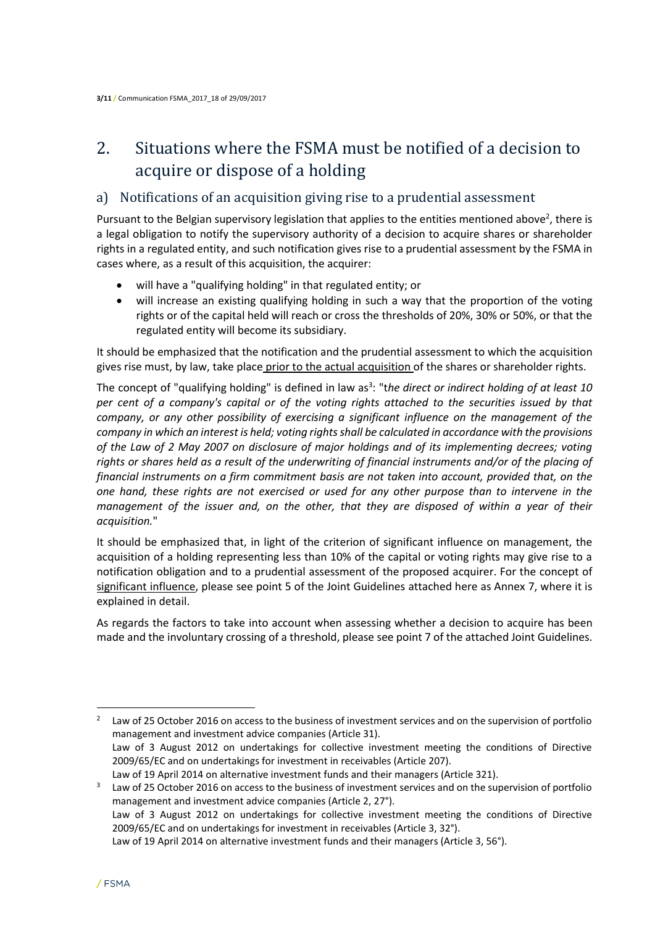## 2. Situations where the FSMA must be notified of a decision to acquire or dispose of a holding

## a) Notifications of an acquisition giving rise to a prudential assessment

Pursuant to the Belgian supervisory legislation that applies to the entities mentioned above<sup>2</sup>, there is a legal obligation to notify the supervisory authority of a decision to acquire shares or shareholder rights in a regulated entity, and such notification gives rise to a prudential assessment by the FSMA in cases where, as a result of this acquisition, the acquirer:

- will have a "qualifying holding" in that regulated entity; or
- will increase an existing qualifying holding in such a way that the proportion of the voting rights or of the capital held will reach or cross the thresholds of 20%, 30% or 50%, or that the regulated entity will become its subsidiary.

It should be emphasized that the notification and the prudential assessment to which the acquisition gives rise must, by law, take place prior to the actual acquisition of the shares or shareholder rights.

The concept of "qualifying holding" is defined in law as<sup>3</sup>: "the direct or indirect holding of at least 10 *per cent of a company's capital or of the voting rights attached to the securities issued by that company, or any other possibility of exercising a significant influence on the management of the company in which an interest is held; voting rights shall be calculated in accordance with the provisions of the Law of 2 May 2007 on disclosure of major holdings and of its implementing decrees; voting rights or shares held as a result of the underwriting of financial instruments and/or of the placing of financial instruments on a firm commitment basis are not taken into account, provided that, on the one hand, these rights are not exercised or used for any other purpose than to intervene in the management of the issuer and, on the other, that they are disposed of within a year of their acquisition.*"

It should be emphasized that, in light of the criterion of significant influence on management, the acquisition of a holding representing less than 10% of the capital or voting rights may give rise to a notification obligation and to a prudential assessment of the proposed acquirer. For the concept of significant influence, please see point 5 of the Joint Guidelines attached here as Annex 7, where it is explained in detail.

As regards the factors to take into account when assessing whether a decision to acquire has been made and the involuntary crossing of a threshold, please see point 7 of the attached Joint Guidelines.

 $\overline{\phantom{a}}$ <sup>2</sup> Law of 25 October 2016 on access to the business of investment services and on the supervision of portfolio management and investment advice companies (Article 31). Law of 3 August 2012 on undertakings for collective investment meeting the conditions of Directive 2009/65/EC and on undertakings for investment in receivables (Article 207). Law of 19 April 2014 on alternative investment funds and their managers (Article 321).

<sup>3</sup> Law of 25 October 2016 on access to the business of investment services and on the supervision of portfolio management and investment advice companies (Article 2, 27°). Law of 3 August 2012 on undertakings for collective investment meeting the conditions of Directive 2009/65/EC and on undertakings for investment in receivables (Article 3, 32°). Law of 19 April 2014 on alternative investment funds and their managers (Article 3, 56°).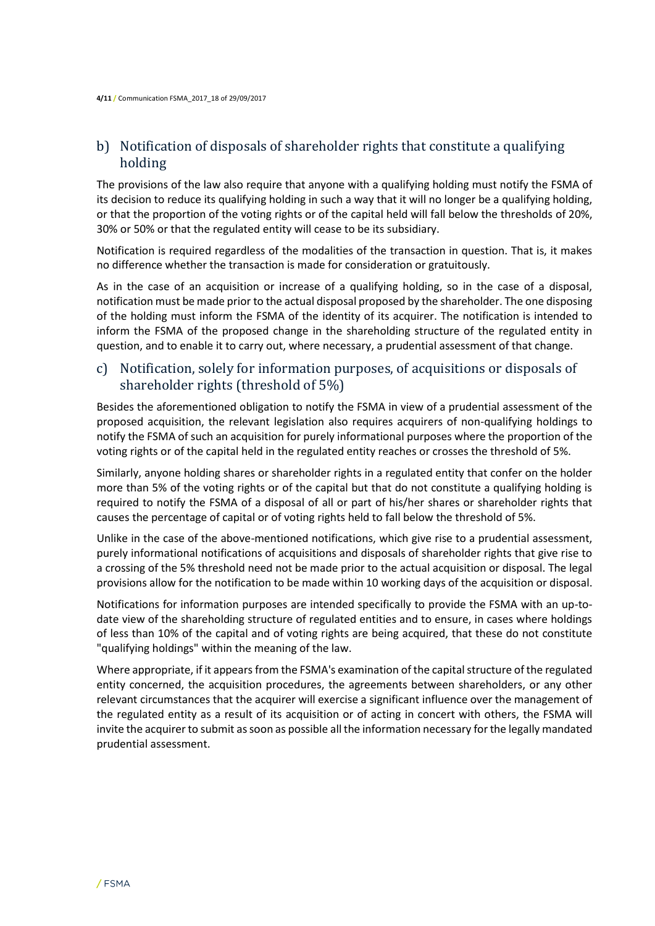## b) Notification of disposals of shareholder rights that constitute a qualifying holding

The provisions of the law also require that anyone with a qualifying holding must notify the FSMA of its decision to reduce its qualifying holding in such a way that it will no longer be a qualifying holding, or that the proportion of the voting rights or of the capital held will fall below the thresholds of 20%, 30% or 50% or that the regulated entity will cease to be its subsidiary.

Notification is required regardless of the modalities of the transaction in question. That is, it makes no difference whether the transaction is made for consideration or gratuitously.

As in the case of an acquisition or increase of a qualifying holding, so in the case of a disposal, notification must be made prior to the actual disposal proposed by the shareholder. The one disposing of the holding must inform the FSMA of the identity of its acquirer. The notification is intended to inform the FSMA of the proposed change in the shareholding structure of the regulated entity in question, and to enable it to carry out, where necessary, a prudential assessment of that change.

## c) Notification, solely for information purposes, of acquisitions or disposals of shareholder rights (threshold of 5%)

Besides the aforementioned obligation to notify the FSMA in view of a prudential assessment of the proposed acquisition, the relevant legislation also requires acquirers of non-qualifying holdings to notify the FSMA of such an acquisition for purely informational purposes where the proportion of the voting rights or of the capital held in the regulated entity reaches or crosses the threshold of 5%.

Similarly, anyone holding shares or shareholder rights in a regulated entity that confer on the holder more than 5% of the voting rights or of the capital but that do not constitute a qualifying holding is required to notify the FSMA of a disposal of all or part of his/her shares or shareholder rights that causes the percentage of capital or of voting rights held to fall below the threshold of 5%.

Unlike in the case of the above-mentioned notifications, which give rise to a prudential assessment, purely informational notifications of acquisitions and disposals of shareholder rights that give rise to a crossing of the 5% threshold need not be made prior to the actual acquisition or disposal. The legal provisions allow for the notification to be made within 10 working days of the acquisition or disposal.

Notifications for information purposes are intended specifically to provide the FSMA with an up-todate view of the shareholding structure of regulated entities and to ensure, in cases where holdings of less than 10% of the capital and of voting rights are being acquired, that these do not constitute "qualifying holdings" within the meaning of the law.

Where appropriate, if it appears from the FSMA's examination of the capital structure of the regulated entity concerned, the acquisition procedures, the agreements between shareholders, or any other relevant circumstances that the acquirer will exercise a significant influence over the management of the regulated entity as a result of its acquisition or of acting in concert with others, the FSMA will invite the acquirer to submit as soon as possible all the information necessary for the legally mandated prudential assessment.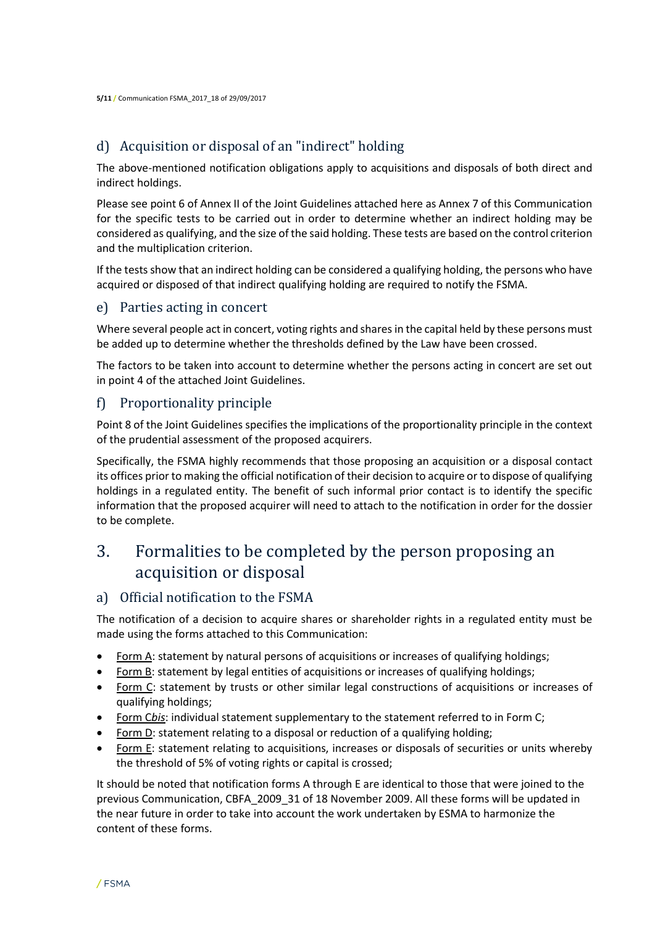## d) Acquisition or disposal of an "indirect" holding

The above-mentioned notification obligations apply to acquisitions and disposals of both direct and indirect holdings.

Please see point 6 of Annex II of the Joint Guidelines attached here as Annex 7 of this Communication for the specific tests to be carried out in order to determine whether an indirect holding may be considered as qualifying, and the size of the said holding. These tests are based on the control criterion and the multiplication criterion.

If the tests show that an indirect holding can be considered a qualifying holding, the persons who have acquired or disposed of that indirect qualifying holding are required to notify the FSMA.

### e) Parties acting in concert

Where several people act in concert, voting rights and shares in the capital held by these persons must be added up to determine whether the thresholds defined by the Law have been crossed.

The factors to be taken into account to determine whether the persons acting in concert are set out in point 4 of the attached Joint Guidelines.

## f) Proportionality principle

Point 8 of the Joint Guidelines specifies the implications of the proportionality principle in the context of the prudential assessment of the proposed acquirers.

Specifically, the FSMA highly recommends that those proposing an acquisition or a disposal contact its offices prior to making the official notification of their decision to acquire or to dispose of qualifying holdings in a regulated entity. The benefit of such informal prior contact is to identify the specific information that the proposed acquirer will need to attach to the notification in order for the dossier to be complete.

## 3. Formalities to be completed by the person proposing an acquisition or disposal

## a) Official notification to the FSMA

The notification of a decision to acquire shares or shareholder rights in a regulated entity must be made using the forms attached to this Communication:

- Form A: statement by natural persons of acquisitions or increases of qualifying holdings;
- Form B: statement by legal entities of acquisitions or increases of qualifying holdings;
- Form C: statement by trusts or other similar legal constructions of acquisitions or increases of qualifying holdings;
- Form C*bis*: individual statement supplementary to the statement referred to in Form C;
- Form D: statement relating to a disposal or reduction of a qualifying holding;
- Form E: statement relating to acquisitions, increases or disposals of securities or units whereby the threshold of 5% of voting rights or capital is crossed;

It should be noted that notification forms A through E are identical to those that were joined to the previous Communication, CBFA\_2009\_31 of 18 November 2009. All these forms will be updated in the near future in order to take into account the work undertaken by ESMA to harmonize the content of these forms.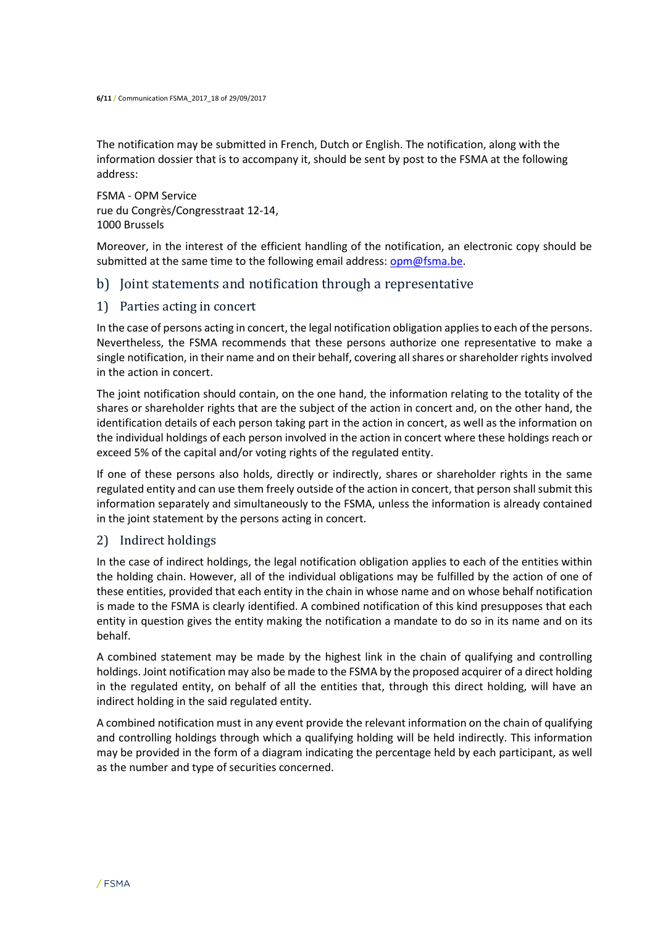The notification may be submitted in French, Dutch or English. The notification, along with the information dossier that is to accompany it, should be sent by post to the FSMA at the following address:

FSMA - OPM Service rue du Congrès/Congresstraat 12-14, 1000 Brussels

Moreover, in the interest of the efficient handling of the notification, an electronic copy should be submitted at the same time to the following email address:  $\text{opm@fsmal}$  be.

## b) Joint statements and notification through a representative

#### 1) Parties acting in concert

In the case of persons acting in concert, the legal notification obligation applies to each of the persons. Nevertheless, the FSMA recommends that these persons authorize one representative to make a single notification, in their name and on their behalf, covering all shares or shareholder rights involved in the action in concert.

The joint notification should contain, on the one hand, the information relating to the totality of the shares or shareholder rights that are the subject of the action in concert and, on the other hand, the identification details of each person taking part in the action in concert, as well as the information on the individual holdings of each person involved in the action in concert where these holdings reach or exceed 5% of the capital and/or voting rights of the regulated entity.

If one of these persons also holds, directly or indirectly, shares or shareholder rights in the same regulated entity and can use them freely outside of the action in concert, that person shall submit this information separately and simultaneously to the FSMA, unless the information is already contained in the joint statement by the persons acting in concert.

#### 2) Indirect holdings

In the case of indirect holdings, the legal notification obligation applies to each of the entities within the holding chain. However, all of the individual obligations may be fulfilled by the action of one of these entities, provided that each entity in the chain in whose name and on whose behalf notification is made to the FSMA is clearly identified. A combined notification of this kind presupposes that each entity in question gives the entity making the notification a mandate to do so in its name and on its behalf.

A combined statement may be made by the highest link in the chain of qualifying and controlling holdings. Joint notification may also be made to the FSMA by the proposed acquirer of a direct holding in the regulated entity, on behalf of all the entities that, through this direct holding, will have an indirect holding in the said regulated entity.

A combined notification must in any event provide the relevant information on the chain of qualifying and controlling holdings through which a qualifying holding will be held indirectly. This information may be provided in the form of a diagram indicating the percentage held by each participant, as well as the number and type of securities concerned.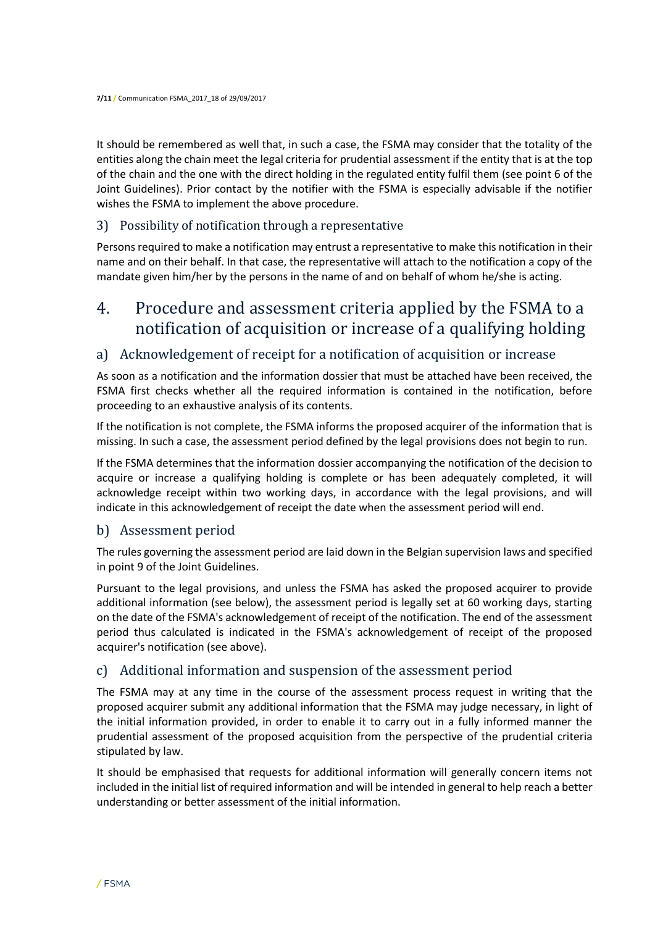It should be remembered as well that, in such a case, the FSMA may consider that the totality of the entities along the chain meet the legal criteria for prudential assessment if the entity that is at the top of the chain and the one with the direct holding in the regulated entity fulfil them (see point 6 of the Joint Guidelines). Prior contact by the notifier with the FSMA is especially advisable if the notifier wishes the FSMA to implement the above procedure.

### 3) Possibility of notification through a representative

Persons required to make a notification may entrust a representative to make this notification in their name and on their behalf. In that case, the representative will attach to the notification a copy of the mandate given him/her by the persons in the name of and on behalf of whom he/she is acting.

## 4. Procedure and assessment criteria applied by the FSMA to a notification of acquisition or increase of a qualifying holding

## a) Acknowledgement of receipt for a notification of acquisition or increase

As soon as a notification and the information dossier that must be attached have been received, the FSMA first checks whether all the required information is contained in the notification, before proceeding to an exhaustive analysis of its contents.

If the notification is not complete, the FSMA informs the proposed acquirer of the information that is missing. In such a case, the assessment period defined by the legal provisions does not begin to run.

If the FSMA determines that the information dossier accompanying the notification of the decision to acquire or increase a qualifying holding is complete or has been adequately completed, it will acknowledge receipt within two working days, in accordance with the legal provisions, and will indicate in this acknowledgement of receipt the date when the assessment period will end.

## b) Assessment period

The rules governing the assessment period are laid down in the Belgian supervision laws and specified in point 9 of the Joint Guidelines.

Pursuant to the legal provisions, and unless the FSMA has asked the proposed acquirer to provide additional information (see below), the assessment period is legally set at 60 working days, starting on the date of the FSMA's acknowledgement of receipt of the notification. The end of the assessment period thus calculated is indicated in the FSMA's acknowledgement of receipt of the proposed acquirer's notification (see above).

## c) Additional information and suspension of the assessment period

The FSMA may at any time in the course of the assessment process request in writing that the proposed acquirer submit any additional information that the FSMA may judge necessary, in light of the initial information provided, in order to enable it to carry out in a fully informed manner the prudential assessment of the proposed acquisition from the perspective of the prudential criteria stipulated by law.

It should be emphasised that requests for additional information will generally concern items not included in the initial list of required information and will be intended in general to help reach a better understanding or better assessment of the initial information.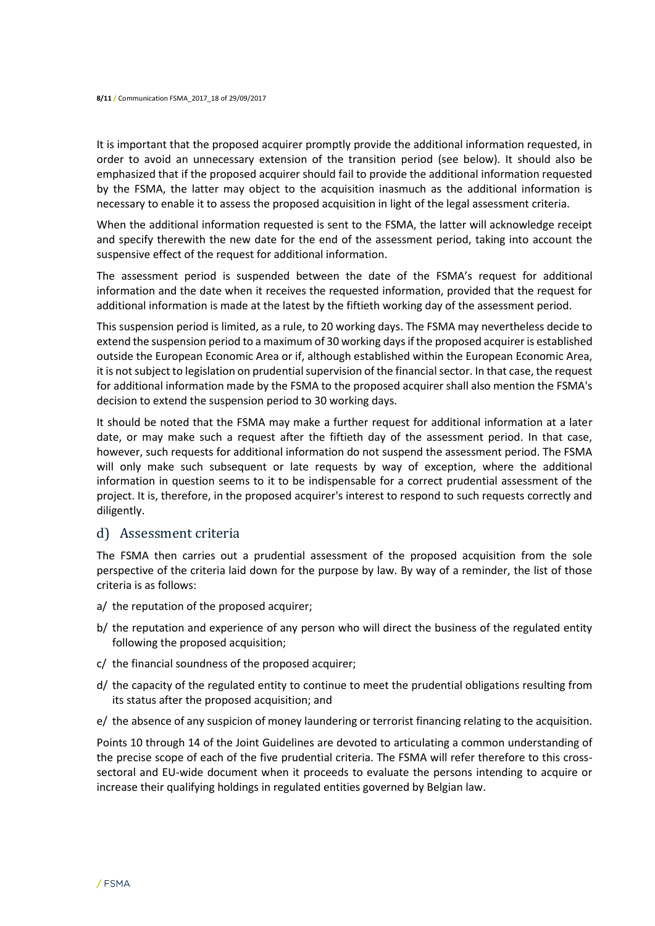It is important that the proposed acquirer promptly provide the additional information requested, in order to avoid an unnecessary extension of the transition period (see below). It should also be emphasized that if the proposed acquirer should fail to provide the additional information requested by the FSMA, the latter may object to the acquisition inasmuch as the additional information is necessary to enable it to assess the proposed acquisition in light of the legal assessment criteria.

When the additional information requested is sent to the FSMA, the latter will acknowledge receipt and specify therewith the new date for the end of the assessment period, taking into account the suspensive effect of the request for additional information.

The assessment period is suspended between the date of the FSMA's request for additional information and the date when it receives the requested information, provided that the request for additional information is made at the latest by the fiftieth working day of the assessment period.

This suspension period is limited, as a rule, to 20 working days. The FSMA may nevertheless decide to extend the suspension period to a maximum of 30 working days if the proposed acquirer is established outside the European Economic Area or if, although established within the European Economic Area, it is not subject to legislation on prudential supervision of the financial sector. In that case, the request for additional information made by the FSMA to the proposed acquirer shall also mention the FSMA's decision to extend the suspension period to 30 working days.

It should be noted that the FSMA may make a further request for additional information at a later date, or may make such a request after the fiftieth day of the assessment period. In that case, however, such requests for additional information do not suspend the assessment period. The FSMA will only make such subsequent or late requests by way of exception, where the additional information in question seems to it to be indispensable for a correct prudential assessment of the project. It is, therefore, in the proposed acquirer's interest to respond to such requests correctly and diligently.

#### d) Assessment criteria

The FSMA then carries out a prudential assessment of the proposed acquisition from the sole perspective of the criteria laid down for the purpose by law. By way of a reminder, the list of those criteria is as follows:

- a/ the reputation of the proposed acquirer;
- b/ the reputation and experience of any person who will direct the business of the regulated entity following the proposed acquisition;
- c/ the financial soundness of the proposed acquirer;
- d/ the capacity of the regulated entity to continue to meet the prudential obligations resulting from its status after the proposed acquisition; and
- e/ the absence of any suspicion of money laundering or terrorist financing relating to the acquisition.

Points 10 through 14 of the Joint Guidelines are devoted to articulating a common understanding of the precise scope of each of the five prudential criteria. The FSMA will refer therefore to this crosssectoral and EU-wide document when it proceeds to evaluate the persons intending to acquire or increase their qualifying holdings in regulated entities governed by Belgian law.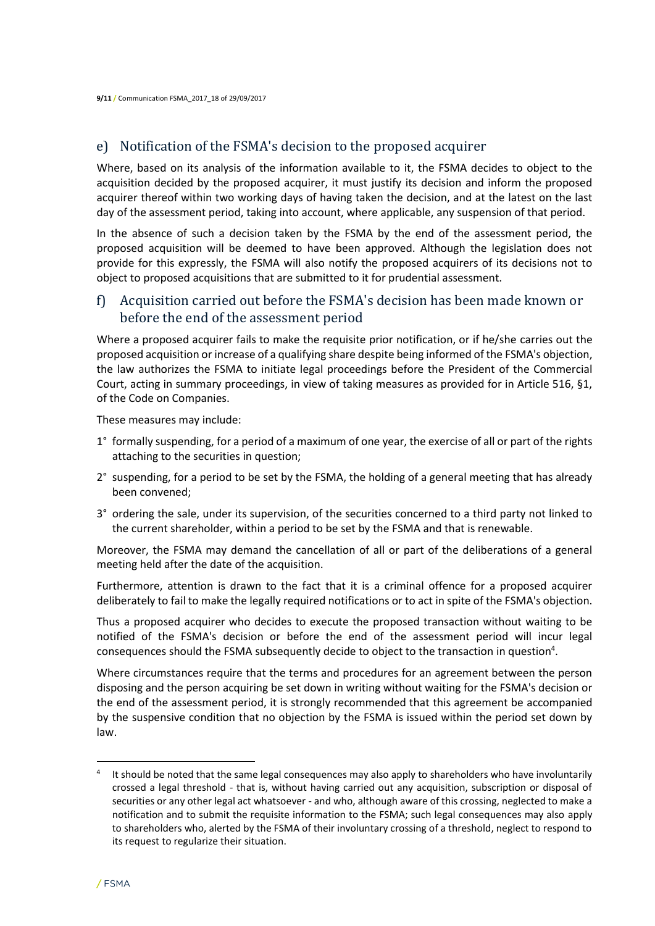## e) Notification of the FSMA's decision to the proposed acquirer

Where, based on its analysis of the information available to it, the FSMA decides to object to the acquisition decided by the proposed acquirer, it must justify its decision and inform the proposed acquirer thereof within two working days of having taken the decision, and at the latest on the last day of the assessment period, taking into account, where applicable, any suspension of that period.

In the absence of such a decision taken by the FSMA by the end of the assessment period, the proposed acquisition will be deemed to have been approved. Although the legislation does not provide for this expressly, the FSMA will also notify the proposed acquirers of its decisions not to object to proposed acquisitions that are submitted to it for prudential assessment.

## f) Acquisition carried out before the FSMA's decision has been made known or before the end of the assessment period

Where a proposed acquirer fails to make the requisite prior notification, or if he/she carries out the proposed acquisition or increase of a qualifying share despite being informed of the FSMA's objection, the law authorizes the FSMA to initiate legal proceedings before the President of the Commercial Court, acting in summary proceedings, in view of taking measures as provided for in Article 516, §1, of the Code on Companies.

These measures may include:

- 1° formally suspending, for a period of a maximum of one year, the exercise of all or part of the rights attaching to the securities in question;
- 2° suspending, for a period to be set by the FSMA, the holding of a general meeting that has already been convened;
- 3° ordering the sale, under its supervision, of the securities concerned to a third party not linked to the current shareholder, within a period to be set by the FSMA and that is renewable.

Moreover, the FSMA may demand the cancellation of all or part of the deliberations of a general meeting held after the date of the acquisition.

Furthermore, attention is drawn to the fact that it is a criminal offence for a proposed acquirer deliberately to fail to make the legally required notifications or to act in spite of the FSMA's objection.

Thus a proposed acquirer who decides to execute the proposed transaction without waiting to be notified of the FSMA's decision or before the end of the assessment period will incur legal consequences should the FSMA subsequently decide to object to the transaction in question<sup>4</sup>.

Where circumstances require that the terms and procedures for an agreement between the person disposing and the person acquiring be set down in writing without waiting for the FSMA's decision or the end of the assessment period, it is strongly recommended that this agreement be accompanied by the suspensive condition that no objection by the FSMA is issued within the period set down by law.

 $\overline{\phantom{a}}$ 

<sup>4</sup> It should be noted that the same legal consequences may also apply to shareholders who have involuntarily crossed a legal threshold - that is, without having carried out any acquisition, subscription or disposal of securities or any other legal act whatsoever - and who, although aware of this crossing, neglected to make a notification and to submit the requisite information to the FSMA; such legal consequences may also apply to shareholders who, alerted by the FSMA of their involuntary crossing of a threshold, neglect to respond to its request to regularize their situation.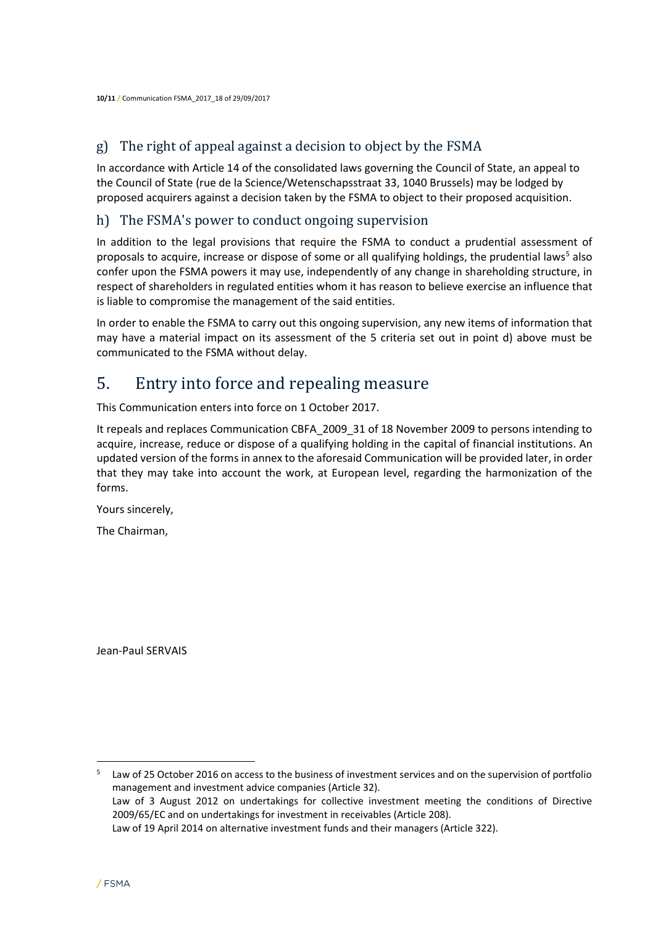## g) The right of appeal against a decision to object by the FSMA

In accordance with Article 14 of the consolidated laws governing the Council of State, an appeal to the Council of State (rue de la Science/Wetenschapsstraat 33, 1040 Brussels) may be lodged by proposed acquirers against a decision taken by the FSMA to object to their proposed acquisition.

## h) The FSMA's power to conduct ongoing supervision

In addition to the legal provisions that require the FSMA to conduct a prudential assessment of proposals to acquire, increase or dispose of some or all qualifying holdings, the prudential laws<sup>5</sup> also confer upon the FSMA powers it may use, independently of any change in shareholding structure, in respect of shareholders in regulated entities whom it has reason to believe exercise an influence that is liable to compromise the management of the said entities.

In order to enable the FSMA to carry out this ongoing supervision, any new items of information that may have a material impact on its assessment of the 5 criteria set out in point d) above must be communicated to the FSMA without delay.

## 5. Entry into force and repealing measure

This Communication enters into force on 1 October 2017.

It repeals and replaces Communication CBFA\_2009\_31 of 18 November 2009 to persons intending to acquire, increase, reduce or dispose of a qualifying holding in the capital of financial institutions. An updated version of the forms in annex to the aforesaid Communication will be provided later, in order that they may take into account the work, at European level, regarding the harmonization of the forms.

Yours sincerely,

The Chairman,

Jean-Paul SERVAIS

5 Law of 25 October 2016 on access to the business of investment services and on the supervision of portfolio management and investment advice companies (Article 32). Law of 3 August 2012 on undertakings for collective investment meeting the conditions of Directive 2009/65/EC and on undertakings for investment in receivables (Article 208). Law of 19 April 2014 on alternative investment funds and their managers (Article 322).

 $\overline{\phantom{a}}$